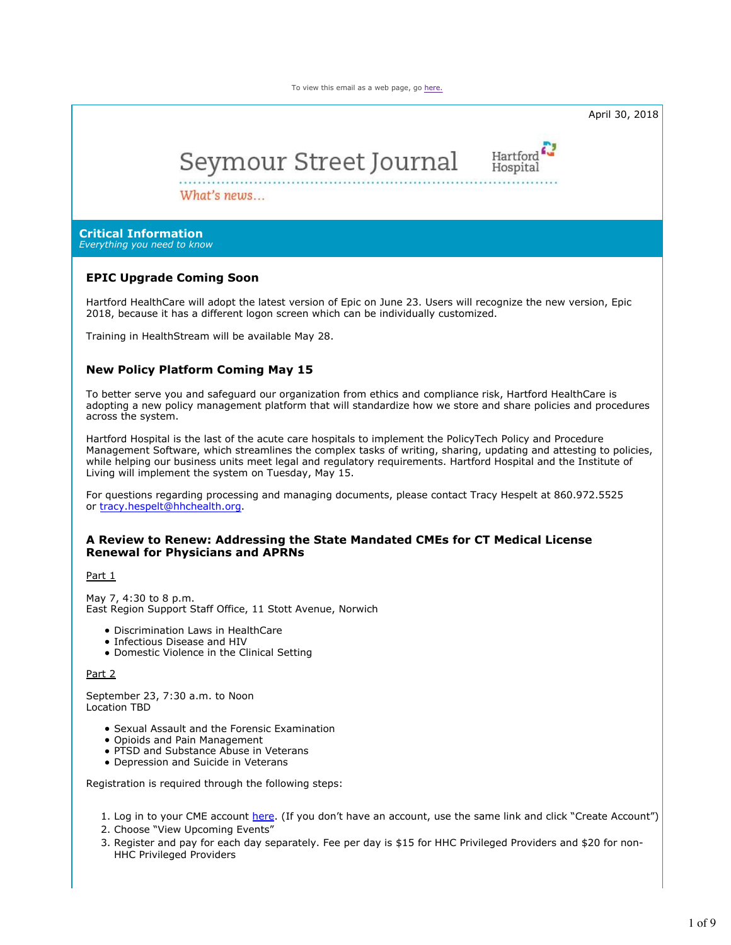To view this email as a web page, go here.



To better serve you and safeguard our organization from ethics and compliance risk, Hartford HealthCare is adopting a new policy management platform that will standardize how we store and share policies and procedures across the system.

Hartford Hospital is the last of the acute care hospitals to implement the PolicyTech Policy and Procedure Management Software, which streamlines the complex tasks of writing, sharing, updating and attesting to policies, while helping our business units meet legal and regulatory requirements. Hartford Hospital and the Institute of Living will implement the system on Tuesday, May 15.

For questions regarding processing and managing documents, please contact Tracy Hespelt at 860.972.5525 or tracy.hespelt@hhchealth.org.

# **A Review to Renew: Addressing the State Mandated CMEs for CT Medical License Renewal for Physicians and APRNs**

Part 1

May 7, 4:30 to 8 p.m. East Region Support Staff Office, 11 Stott Avenue, Norwich

- Discrimination Laws in HealthCare
- Infectious Disease and HIV
- Domestic Violence in the Clinical Setting

Part 2

September 23, 7:30 a.m. to Noon Location TBD

- Sexual Assault and the Forensic Examination
- Opioids and Pain Management
- PTSD and Substance Abuse in Veterans
- Depression and Suicide in Veterans

Registration is required through the following steps:

1. Log in to your CME account here. (If you don't have an account, use the same link and click "Create Account")

- 2. Choose "View Upcoming Events"
- 3. Register and pay for each day separately. Fee per day is \$15 for HHC Privileged Providers and \$20 for non-HHC Privileged Providers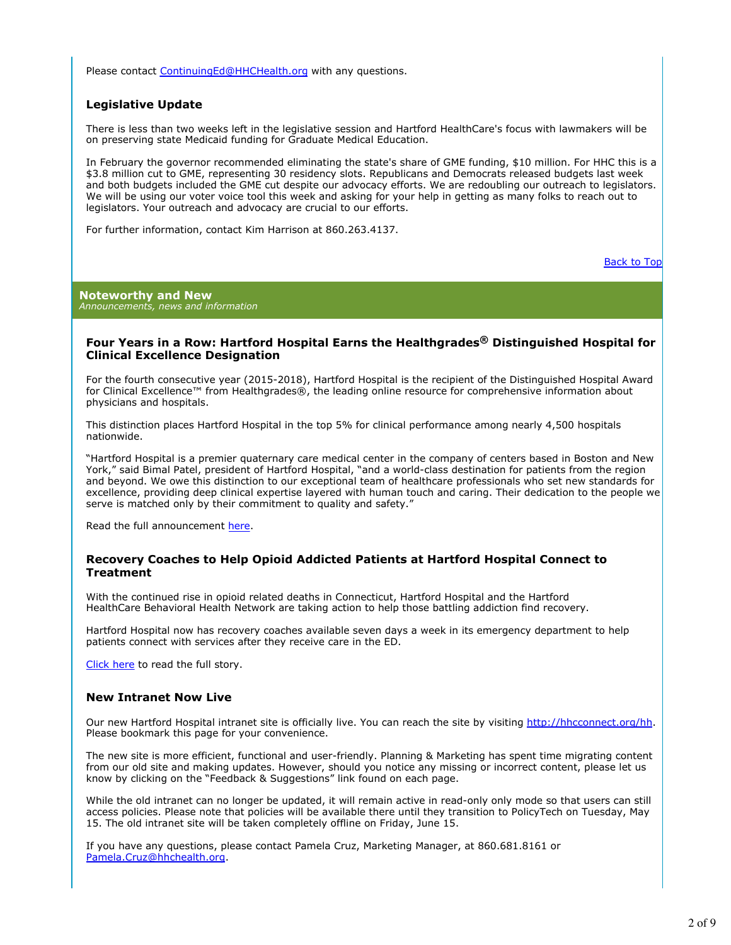Please contact ContinuingEd@HHCHealth.org with any questions.

### **Legislative Update**

There is less than two weeks left in the legislative session and Hartford HealthCare's focus with lawmakers will be on preserving state Medicaid funding for Graduate Medical Education.

In February the governor recommended eliminating the state's share of GME funding, \$10 million. For HHC this is a \$3.8 million cut to GME, representing 30 residency slots. Republicans and Democrats released budgets last week and both budgets included the GME cut despite our advocacy efforts. We are redoubling our outreach to legislators. We will be using our voter voice tool this week and asking for your help in getting as many folks to reach out to legislators. Your outreach and advocacy are crucial to our efforts.

For further information, contact Kim Harrison at 860.263.4137.

Back to Top

**Noteworthy and New** *Announcements, news and information*

### **Four Years in a Row: Hartford Hospital Earns the Healthgrades® Distinguished Hospital for Clinical Excellence Designation**

For the fourth consecutive year (2015-2018), Hartford Hospital is the recipient of the Distinguished Hospital Award for Clinical Excellence™ from Healthgrades®, the leading online resource for comprehensive information about physicians and hospitals.

This distinction places Hartford Hospital in the top 5% for clinical performance among nearly 4,500 hospitals nationwide.

"Hartford Hospital is a premier quaternary care medical center in the company of centers based in Boston and New York," said Bimal Patel, president of Hartford Hospital, "and a world-class destination for patients from the region and beyond. We owe this distinction to our exceptional team of healthcare professionals who set new standards for excellence, providing deep clinical expertise layered with human touch and caring. Their dedication to the people we serve is matched only by their commitment to quality and safety."

Read the full announcement here.

### **Recovery Coaches to Help Opioid Addicted Patients at Hartford Hospital Connect to Treatment**

With the continued rise in opioid related deaths in Connecticut, Hartford Hospital and the Hartford HealthCare Behavioral Health Network are taking action to help those battling addiction find recovery.

Hartford Hospital now has recovery coaches available seven days a week in its emergency department to help patients connect with services after they receive care in the ED.

Click here to read the full story.

### **New Intranet Now Live**

Our new Hartford Hospital intranet site is officially live. You can reach the site by visiting http://hhcconnect.org/hh. Please bookmark this page for your convenience.

The new site is more efficient, functional and user-friendly. Planning & Marketing has spent time migrating content from our old site and making updates. However, should you notice any missing or incorrect content, please let us know by clicking on the "Feedback & Suggestions" link found on each page.

While the old intranet can no longer be updated, it will remain active in read-only only mode so that users can still access policies. Please note that policies will be available there until they transition to PolicyTech on Tuesday, May 15. The old intranet site will be taken completely offline on Friday, June 15.

If you have any questions, please contact Pamela Cruz, Marketing Manager, at 860.681.8161 or Pamela.Cruz@hhchealth.org.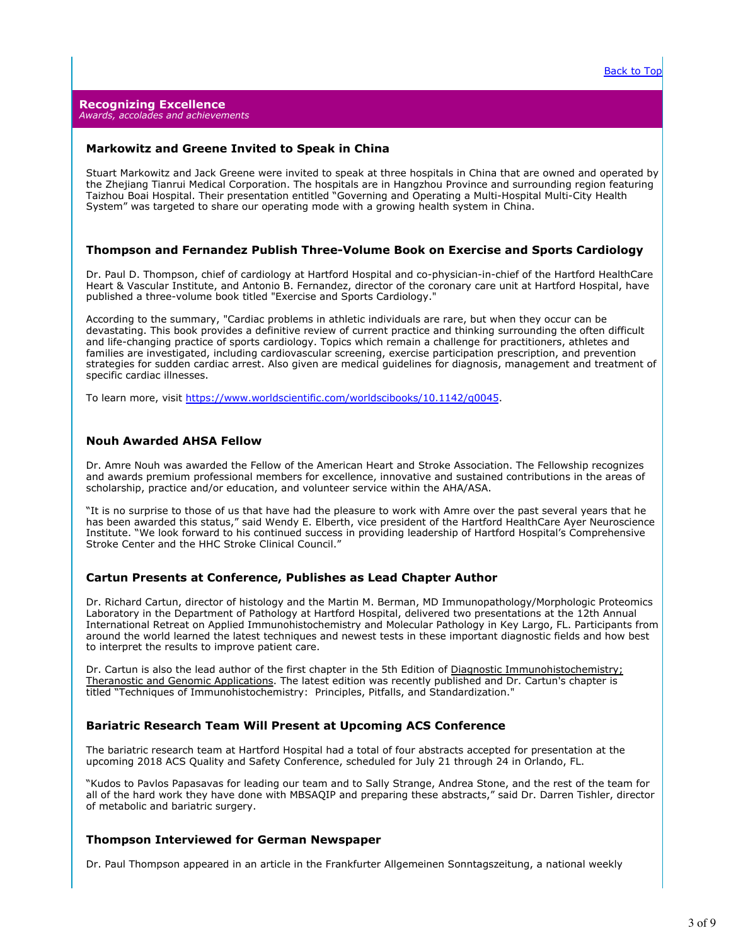### **Markowitz and Greene Invited to Speak in China**

Stuart Markowitz and Jack Greene were invited to speak at three hospitals in China that are owned and operated by the Zhejiang Tianrui Medical Corporation. The hospitals are in Hangzhou Province and surrounding region featuring Taizhou Boai Hospital. Their presentation entitled "Governing and Operating a Multi-Hospital Multi-City Health System" was targeted to share our operating mode with a growing health system in China.

### **Thompson and Fernandez Publish Three-Volume Book on Exercise and Sports Cardiology**

Dr. Paul D. Thompson, chief of cardiology at Hartford Hospital and co-physician-in-chief of the Hartford HealthCare Heart & Vascular Institute, and Antonio B. Fernandez, director of the coronary care unit at Hartford Hospital, have published a three-volume book titled "Exercise and Sports Cardiology."

According to the summary, "Cardiac problems in athletic individuals are rare, but when they occur can be devastating. This book provides a definitive review of current practice and thinking surrounding the often difficult and life-changing practice of sports cardiology. Topics which remain a challenge for practitioners, athletes and families are investigated, including cardiovascular screening, exercise participation prescription, and prevention strategies for sudden cardiac arrest. Also given are medical guidelines for diagnosis, management and treatment of specific cardiac illnesses.

To learn more, visit https://www.worldscientific.com/worldscibooks/10.1142/q0045.

### **Nouh Awarded AHSA Fellow**

Dr. Amre Nouh was awarded the Fellow of the American Heart and Stroke Association. The Fellowship recognizes and awards premium professional members for excellence, innovative and sustained contributions in the areas of scholarship, practice and/or education, and volunteer service within the AHA/ASA.

"It is no surprise to those of us that have had the pleasure to work with Amre over the past several years that he has been awarded this status," said Wendy E. Elberth, vice president of the Hartford HealthCare Ayer Neuroscience Institute. "We look forward to his continued success in providing leadership of Hartford Hospital's Comprehensive Stroke Center and the HHC Stroke Clinical Council."

### **Cartun Presents at Conference, Publishes as Lead Chapter Author**

Dr. Richard Cartun, director of histology and the Martin M. Berman, MD Immunopathology/Morphologic Proteomics Laboratory in the Department of Pathology at Hartford Hospital, delivered two presentations at the 12th Annual International Retreat on Applied Immunohistochemistry and Molecular Pathology in Key Largo, FL. Participants from around the world learned the latest techniques and newest tests in these important diagnostic fields and how best to interpret the results to improve patient care.

Dr. Cartun is also the lead author of the first chapter in the 5th Edition of Diagnostic Immunohistochemistry; Theranostic and Genomic Applications. The latest edition was recently published and Dr. Cartun's chapter is titled "Techniques of Immunohistochemistry: Principles, Pitfalls, and Standardization."

# **Bariatric Research Team Will Present at Upcoming ACS Conference**

The bariatric research team at Hartford Hospital had a total of four abstracts accepted for presentation at the upcoming 2018 ACS Quality and Safety Conference, scheduled for July 21 through 24 in Orlando, FL.

"Kudos to Pavlos Papasavas for leading our team and to Sally Strange, Andrea Stone, and the rest of the team for all of the hard work they have done with MBSAQIP and preparing these abstracts," said Dr. Darren Tishler, director of metabolic and bariatric surgery.

# **Thompson Interviewed for German Newspaper**

Dr. Paul Thompson appeared in an article in the Frankfurter Allgemeinen Sonntagszeitung, a national weekly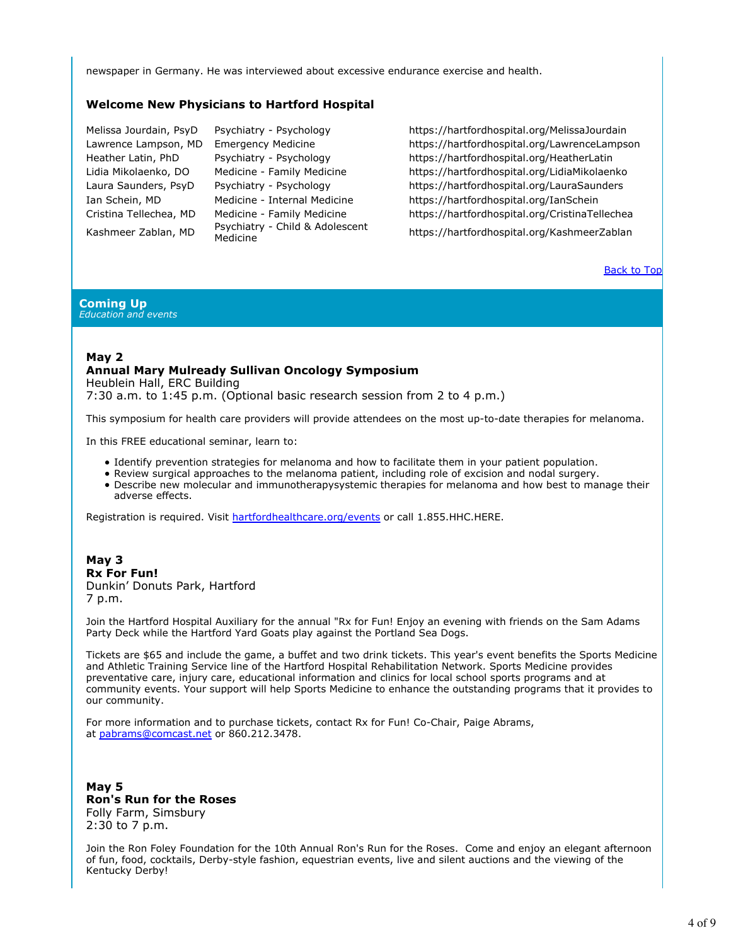newspaper in Germany. He was interviewed about excessive endurance exercise and health.

### **Welcome New Physicians to Hartford Hospital**

Kashmeer Zablan, MD Psychiatry - Child & Adolescent

Melissa Jourdain, PsyD Psychiatry - Psychology https://hartfordhospital.org/MelissaJourdain Lawrence Lampson, MD Emergency Medicine https://hartfordhospital.org/LawrenceLampson Heather Latin, PhD Psychiatry - Psychology https://hartfordhospital.org/HeatherLatin Lidia Mikolaenko, DO Medicine - Family Medicine https://hartfordhospital.org/LidiaMikolaenko Laura Saunders, PsyD Psychiatry - Psychology https://hartfordhospital.org/LauraSaunders Ian Schein, MD Medicine - Internal Medicine https://hartfordhospital.org/IanSchein Cristina Tellechea, MD Medicine - Family Medicine https://hartfordhospital.org/CristinaTellechea

https://hartfordhospital.org/KashmeerZablan

**Back to Top** 

#### **Coming Up** *Education and events*

# **May 2 Annual Mary Mulready Sullivan Oncology Symposium**

Heublein Hall, ERC Building 7:30 a.m. to 1:45 p.m. (Optional basic research session from 2 to 4 p.m.)

This symposium for health care providers will provide attendees on the most up-to-date therapies for melanoma.

In this FREE educational seminar, learn to:

- Identify prevention strategies for melanoma and how to facilitate them in your patient population.
- Review surgical approaches to the melanoma patient, including role of excision and nodal surgery.
- Describe new molecular and immunotherapysystemic therapies for melanoma and how best to manage their adverse effects.

Registration is required. Visit hartfordhealthcare.org/events or call 1.855.HHC.HERE.

### **May 3 Rx For Fun!** Dunkin' Donuts Park, Hartford 7 p.m.

Join the Hartford Hospital Auxiliary for the annual "Rx for Fun! Enjoy an evening with friends on the Sam Adams Party Deck while the Hartford Yard Goats play against the Portland Sea Dogs.

Tickets are \$65 and include the game, a buffet and two drink tickets. This year's event benefits the Sports Medicine and Athletic Training Service line of the Hartford Hospital Rehabilitation Network. Sports Medicine provides preventative care, injury care, educational information and clinics for local school sports programs and at community events. Your support will help Sports Medicine to enhance the outstanding programs that it provides to our community.

For more information and to purchase tickets, contact Rx for Fun! Co-Chair, Paige Abrams, at pabrams@comcast.net or 860.212.3478.

**May 5 Ron's Run for the Roses** Folly Farm, Simsbury 2:30 to 7 p.m.

Join the Ron Foley Foundation for the 10th Annual Ron's Run for the Roses. Come and enjoy an elegant afternoon of fun, food, cocktails, Derby-style fashion, equestrian events, live and silent auctions and the viewing of the Kentucky Derby!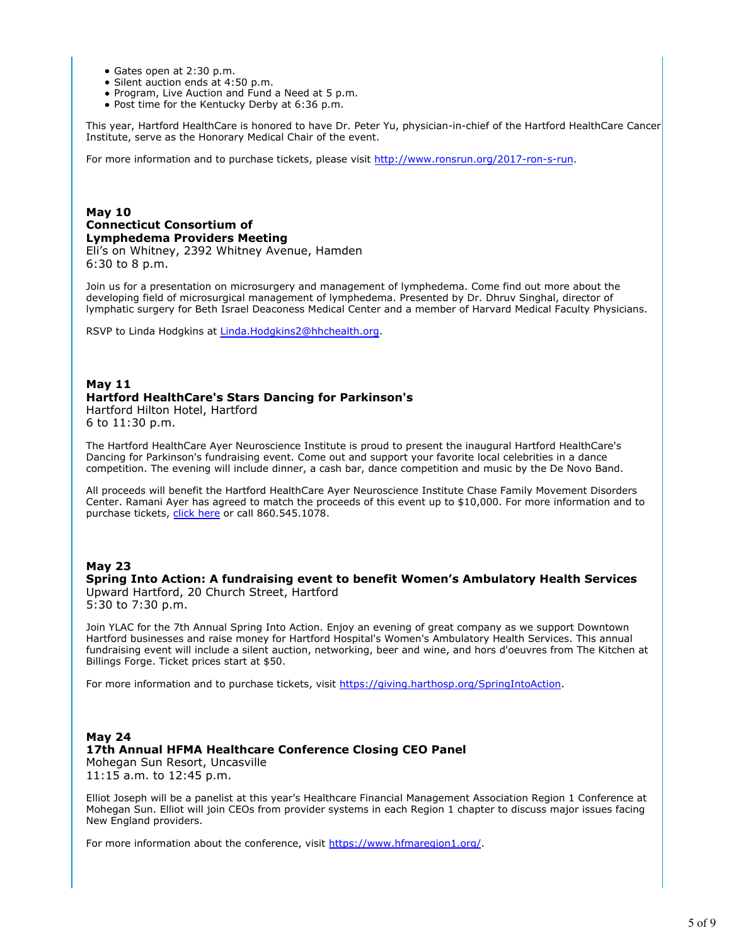- Gates open at 2:30 p.m.
- Silent auction ends at 4:50 p.m.
- Program, Live Auction and Fund a Need at 5 p.m.
- Post time for the Kentucky Derby at 6:36 p.m.

This year, Hartford HealthCare is honored to have Dr. Peter Yu, physician-in-chief of the Hartford HealthCare Cancer Institute, serve as the Honorary Medical Chair of the event.

For more information and to purchase tickets, please visit http://www.ronsrun.org/2017-ron-s-run.

# **May 10 Connecticut Consortium of Lymphedema Providers Meeting**

Eli's on Whitney, 2392 Whitney Avenue, Hamden 6:30 to 8 p.m.

Join us for a presentation on microsurgery and management of lymphedema. Come find out more about the developing field of microsurgical management of lymphedema. Presented by Dr. Dhruv Singhal, director of lymphatic surgery for Beth Israel Deaconess Medical Center and a member of Harvard Medical Faculty Physicians.

RSVP to Linda Hodgkins at Linda.Hodgkins2@hhchealth.org.

### **May 11 Hartford HealthCare's Stars Dancing for Parkinson's** Hartford Hilton Hotel, Hartford

6 to 11:30 p.m.

The Hartford HealthCare Ayer Neuroscience Institute is proud to present the inaugural Hartford HealthCare's Dancing for Parkinson's fundraising event. Come out and support your favorite local celebrities in a dance competition. The evening will include dinner, a cash bar, dance competition and music by the De Novo Band.

All proceeds will benefit the Hartford HealthCare Ayer Neuroscience Institute Chase Family Movement Disorders Center. Ramani Ayer has agreed to match the proceeds of this event up to \$10,000. For more information and to purchase tickets, click here or call 860.545.1078.

### **May 23**

**Spring Into Action: A fundraising event to benefit Women's Ambulatory Health Services** Upward Hartford, 20 Church Street, Hartford

5:30 to 7:30 p.m.

Join YLAC for the 7th Annual Spring Into Action. Enjoy an evening of great company as we support Downtown Hartford businesses and raise money for Hartford Hospital's Women's Ambulatory Health Services. This annual fundraising event will include a silent auction, networking, beer and wine, and hors d'oeuvres from The Kitchen at Billings Forge. Ticket prices start at \$50.

For more information and to purchase tickets, visit https://giving.harthosp.org/SpringIntoAction.

### **May 24 17th Annual HFMA Healthcare Conference Closing CEO Panel** Mohegan Sun Resort, Uncasville

11:15 a.m. to 12:45 p.m.

Elliot Joseph will be a panelist at this year's Healthcare Financial Management Association Region 1 Conference at Mohegan Sun. Elliot will join CEOs from provider systems in each Region 1 chapter to discuss major issues facing New England providers.

For more information about the conference, visit https://www.hfmaregion1.org/.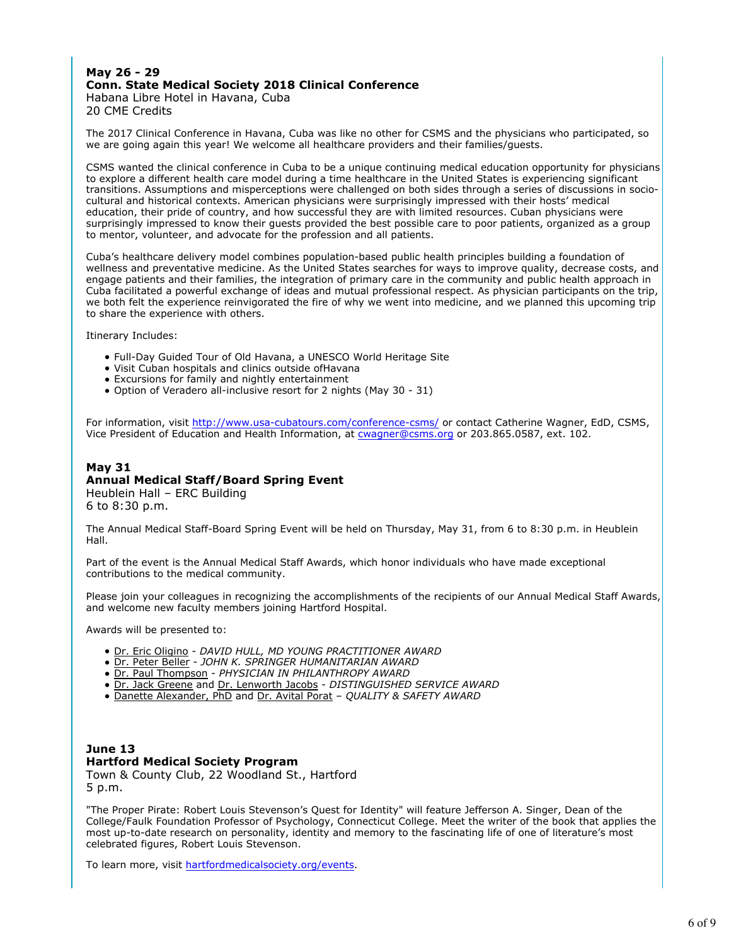# **May 26 - 29 Conn. State Medical Society 2018 Clinical Conference**

Habana Libre Hotel in Havana, Cuba 20 CME Credits

The 2017 Clinical Conference in Havana, Cuba was like no other for CSMS and the physicians who participated, so we are going again this year! We welcome all healthcare providers and their families/guests.

CSMS wanted the clinical conference in Cuba to be a unique continuing medical education opportunity for physicians to explore a different health care model during a time healthcare in the United States is experiencing significant transitions. Assumptions and misperceptions were challenged on both sides through a series of discussions in sociocultural and historical contexts. American physicians were surprisingly impressed with their hosts' medical education, their pride of country, and how successful they are with limited resources. Cuban physicians were surprisingly impressed to know their guests provided the best possible care to poor patients, organized as a group to mentor, volunteer, and advocate for the profession and all patients.

Cuba's healthcare delivery model combines population-based public health principles building a foundation of wellness and preventative medicine. As the United States searches for ways to improve quality, decrease costs, and engage patients and their families, the integration of primary care in the community and public health approach in Cuba facilitated a powerful exchange of ideas and mutual professional respect. As physician participants on the trip, we both felt the experience reinvigorated the fire of why we went into medicine, and we planned this upcoming trip to share the experience with others.

Itinerary Includes:

- Full-Day Guided Tour of Old Havana, a UNESCO World Heritage Site
- Visit Cuban hospitals and clinics outside ofHavana
- Excursions for family and nightly entertainment
- Option of Veradero all-inclusive resort for 2 nights (May 30 31)

For information, visit http://www.usa-cubatours.com/conference-csms/ or contact Catherine Wagner, EdD, CSMS, Vice President of Education and Health Information, at cwagner@csms.org or 203.865.0587, ext. 102.

# **May 31 Annual Medical Staff/Board Spring Event**

Heublein Hall – ERC Building 6 to 8:30 p.m.

The Annual Medical Staff-Board Spring Event will be held on Thursday, May 31, from 6 to 8:30 p.m. in Heublein Hall.

Part of the event is the Annual Medical Staff Awards, which honor individuals who have made exceptional contributions to the medical community.

Please join your colleagues in recognizing the accomplishments of the recipients of our Annual Medical Staff Awards, and welcome new faculty members joining Hartford Hospital.

Awards will be presented to:

- Dr. Eric Oligino *DAVID HULL, MD YOUNG PRACTITIONER AWARD*
- Dr. Peter Beller *JOHN K. SPRINGER HUMANITARIAN AWARD*
- Dr. Paul Thompson *PHYSICIAN IN PHILANTHROPY AWARD*
- Dr. Jack Greene and Dr. Lenworth Jacobs *DISTINGUISHED SERVICE AWARD*
- Danette Alexander, PhD and Dr. Avital Porat *QUALITY & SAFETY AWARD*

# **June 13 Hartford Medical Society Program**

Town & County Club, 22 Woodland St., Hartford 5 p.m.

"The Proper Pirate: Robert Louis Stevenson's Quest for Identity" will feature Jefferson A. Singer, Dean of the College/Faulk Foundation Professor of Psychology, Connecticut College. Meet the writer of the book that applies the most up-to-date research on personality, identity and memory to the fascinating life of one of literature's most celebrated figures, Robert Louis Stevenson.

To learn more, visit hartfordmedicalsociety.org/events.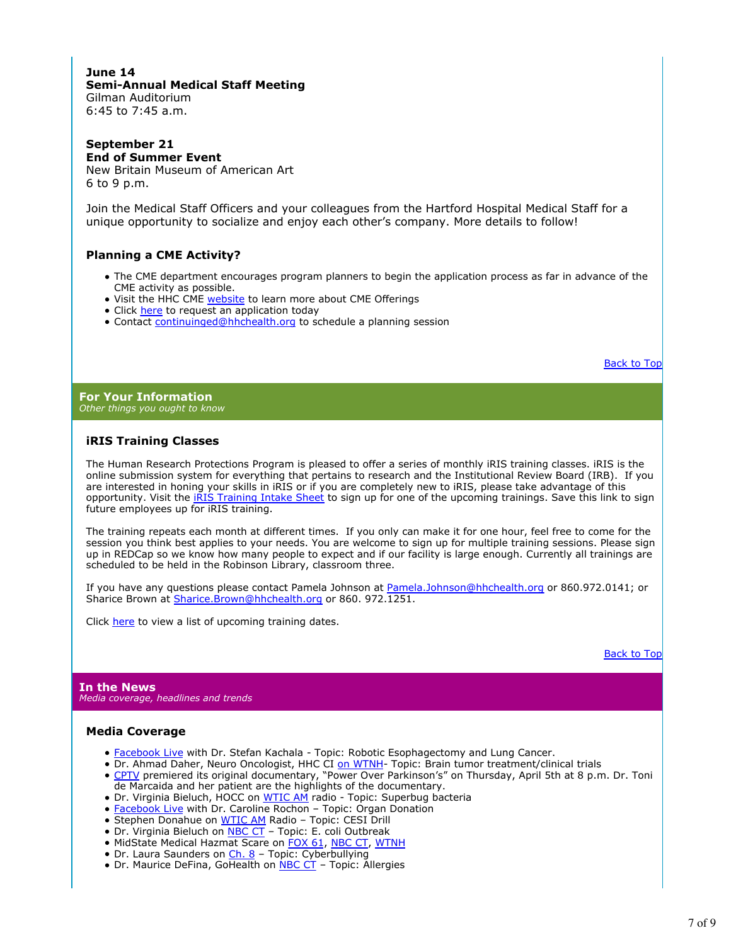# **June 14 Semi-Annual Medical Staff Meeting** Gilman Auditorium

6:45 to 7:45 a.m.

### **September 21 End of Summer Event**

New Britain Museum of American Art 6 to 9 p.m.

Join the Medical Staff Officers and your colleagues from the Hartford Hospital Medical Staff for a unique opportunity to socialize and enjoy each other's company. More details to follow!

# **Planning a CME Activity?**

- The CME department encourages program planners to begin the application process as far in advance of the CME activity as possible.
- Visit the HHC CME website to learn more about CME Offerings
- Click here to request an application today
- Contact continuinged@hhchealth.org to schedule a planning session

Back to Top

**For Your Information** *Other things you ought to know*

# **iRIS Training Classes**

The Human Research Protections Program is pleased to offer a series of monthly iRIS training classes. iRIS is the online submission system for everything that pertains to research and the Institutional Review Board (IRB). If you are interested in honing your skills in iRIS or if you are completely new to iRIS, please take advantage of this opportunity. Visit the *iRIS Training Intake Sheet* to sign up for one of the upcoming trainings. Save this link to sign future employees up for iRIS training.

The training repeats each month at different times. If you only can make it for one hour, feel free to come for the session you think best applies to your needs. You are welcome to sign up for multiple training sessions. Please sign up in REDCap so we know how many people to expect and if our facility is large enough. Currently all trainings are scheduled to be held in the Robinson Library, classroom three.

If you have any questions please contact Pamela Johnson at **Pamela.Johnson@hhchealth.org** or 860.972.0141; or Sharice Brown at Sharice.Brown@hhchealth.org or 860. 972.1251.

Click here to view a list of upcoming training dates.

Back to Top

**In the News** *Media coverage, headlines and trends*

# **Media Coverage**

- Facebook Live with Dr. Stefan Kachala Topic: Robotic Esophagectomy and Lung Cancer.
- Dr. Ahmad Daher, Neuro Oncologist, HHC CI on WTNH- Topic: Brain tumor treatment/clinical trials
- CPTV premiered its original documentary, "Power Over Parkinson's" on Thursday, April 5th at 8 p.m. Dr. Toni de Marcaida and her patient are the highlights of the documentary.
- Dr. Virginia Bieluch, HOCC on WTIC AM radio Topic: Superbug bacteria
- Facebook Live with Dr. Caroline Rochon Topic: Organ Donation
- · Stephen Donahue on WTIC AM Radio Topic: CESI Drill
- Dr. Virginia Bieluch on NBC CT Topic: E. coli Outbreak
- MidState Medical Hazmat Scare on FOX 61, NBC CT, WTNH
- Dr. Laura Saunders on Ch. 8 Topic: Cyberbullying
- Dr. Maurice DeFina, GoHealth on **NBC CT** Topic: Allergies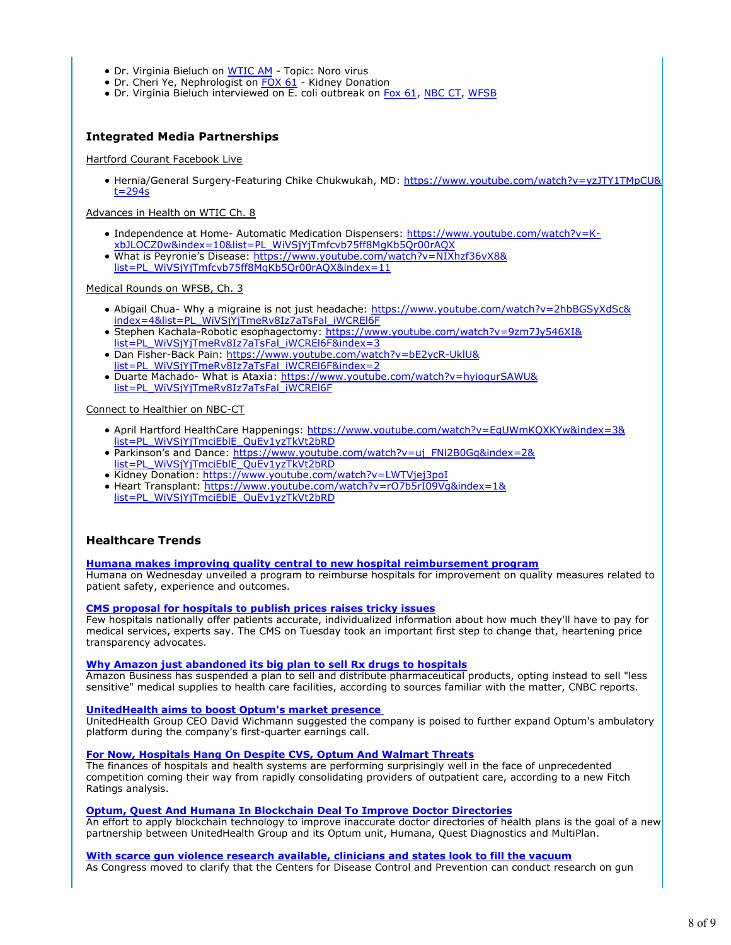- Dr. Virginia Bieluch on WTIC AM Topic: Noro virus
- Dr. Cheri Ye, Nephrologist on FOX 61 Kidney Donation
- Dr. Virginia Bieluch interviewed on E. coli outbreak on Fox 61, NBC CT, WFSB

# **Integrated Media Partnerships**

Hartford Courant Facebook Live

· Hernia/General Surgery-Featuring Chike Chukwukah, MD: https://www.youtube.com/watch?v=yzJTY1TMpCU& t=294s

Advances in Health on WTIC Ch. 8

- Independence at Home- Automatic Medication Dispensers: https://www.youtube.com/watch?v=K-
- xbJLOCZ0w&index=10&list=PL\_WiVSjYjTmfcvb75ff8MgKb5Qr00rAQX What is Peyronie's Disease: https://www.youtube.com/watch?v=NIXhzf36vX8& list=PL\_WiVSjYjTmfcvb75ff8MgKb5Qr00rAQX&index=11

Medical Rounds on WFSB, Ch. 3

- Abigail Chua- Why a migraine is not just headache: https://www.youtube.com/watch?v=2hbBGSyXdSc& index=4&list=PL\_WiVSjYjTmeRv8Iz7aTsFal\_iWCREl6F
- Stephen Kachala-Robotic esophagectomy: https://www.youtube.com/watch?v=9zm7Jy546XI& list=PL\_WiVSjYjTmeRv8Iz7aTsFal\_iWCREl6F&index=3
- Dan Fisher-Back Pain: https://www.youtube.com/watch?v=bE2ycR-UklU& list=PL\_WiVSjYjTmeRv8Iz7aTsFal\_iWCREl6F&index=2
- . Duarte Machado- What is Ataxia: https://www.youtube.com/watch?v=hyiogurSAWU& list=PL\_WiVSjYjTmeRv8Iz7aTsFal\_iWCREl6F

Connect to Healthier on NBC-CT

- April Hartford HealthCare Happenings: https://www.youtube.com/watch?v=EgUWmKQXKYw&index=3& list=PL\_WiVSjYjTmciEblE\_QuEv1yzTkVt2bRD
- Parkinson's and Dance: https://www.youtube.com/watch?v=uj\_FNl2B0Gg&index=2& list=PL\_WiVSjYjTmciEblE\_QuEv1yzTkVt2bRD
- Kidney Donation: https://www.youtube.com/watch?v=LWTVjej3poI
- Heart Transplant: https://www.youtube.com/watch?v=rO7b5rI09Vg&index=1& list=PL\_WiVSjYjTmciEblE\_QuEv1yzTkVt2bRD

# **Healthcare Trends**

### **Humana makes improving quality central to new hospital reimbursement program**

Humana on Wednesday unveiled a program to reimburse hospitals for improvement on quality measures related to patient safety, experience and outcomes.

### **CMS proposal for hospitals to publish prices raises tricky issues**

Few hospitals nationally offer patients accurate, individualized information about how much they'll have to pay for medical services, experts say. The CMS on Tuesday took an important first step to change that, heartening price transparency advocates.

### **Why Amazon just abandoned its big plan to sell Rx drugs to hospitals**

Amazon Business has suspended a plan to sell and distribute pharmaceutical products, opting instead to sell "less sensitive" medical supplies to health care facilities, according to sources familiar with the matter, CNBC reports.

### **UnitedHealth aims to boost Optum's market presence**

UnitedHealth Group CEO David Wichmann suggested the company is poised to further expand Optum's ambulatory platform during the company's first-quarter earnings call.

### **For Now, Hospitals Hang On Despite CVS, Optum And Walmart Threats**

The finances of hospitals and health systems are performing surprisingly well in the face of unprecedented competition coming their way from rapidly consolidating providers of outpatient care, according to a new Fitch Ratings analysis.

### **Optum, Quest And Humana In Blockchain Deal To Improve Doctor Directories**

An effort to apply blockchain technology to improve inaccurate doctor directories of health plans is the goal of a new partnership between UnitedHealth Group and its Optum unit, Humana, Quest Diagnostics and MultiPlan.

### **With scarce gun violence research available, clinicians and states look to fill the vacuum**

As Congress moved to clarify that the Centers for Disease Control and Prevention can conduct research on gun